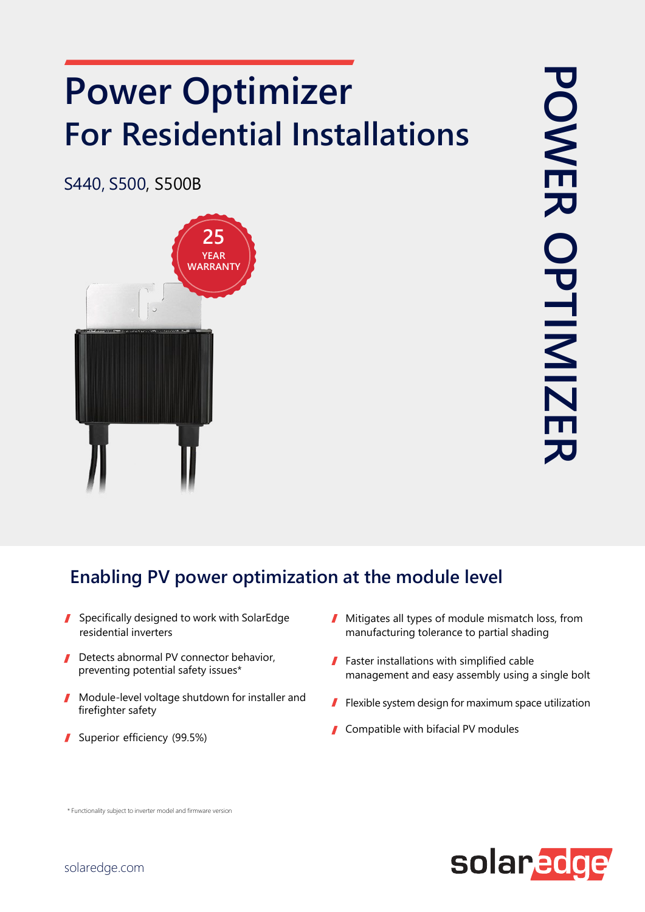## **Power Optimizer For Residential Installations**

S440, S500, S500B



## **Enabling PV power optimization at the module level**

- Specifically designed to work with SolarEdge  $\mathbf{r}$ residential inverters
- Detects abnormal PV connector behavior, preventing potential safety issues\*
- Module-level voltage shutdown for installer and  $\mathbf{r}$ firefighter safety
- Superior efficiency (99.5%)
- Mitigates all types of module mismatch loss, from manufacturing tolerance to partial shading
- **Faster installations with simplified cable** management and easy assembly using a single bolt
- Flexible system design for maximum space utilization
- Compatible with bifacial PV modules



\* Functionality subject to inverter model and firmware version